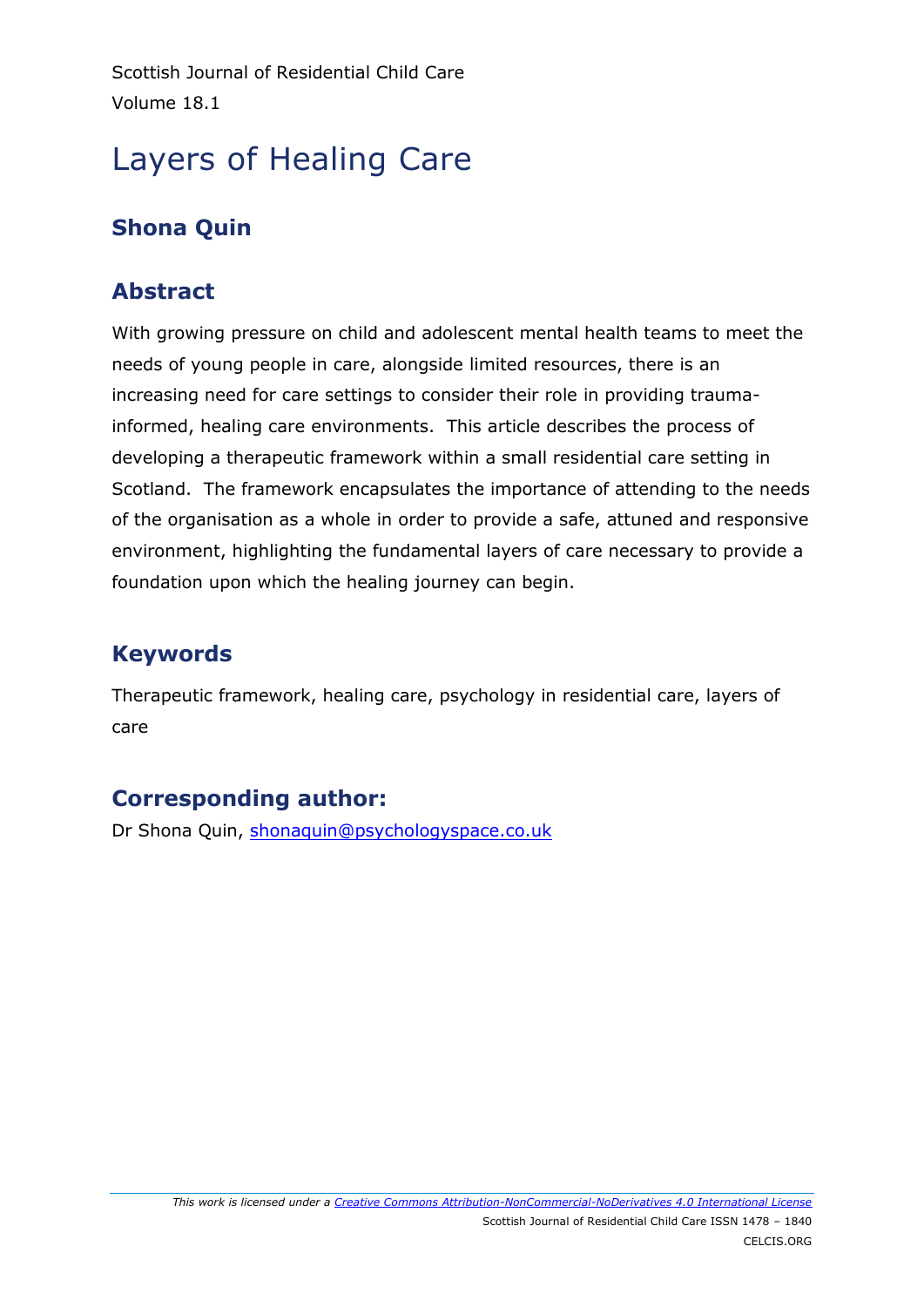Scottish Journal of Residential Child Care Volume 18.1

# Layers of Healing Care

# **Shona Quin**

### **Abstract**

With growing pressure on child and adolescent mental health teams to meet the needs of young people in care, alongside limited resources, there is an increasing need for care settings to consider their role in providing traumainformed, healing care environments. This article describes the process of developing a therapeutic framework within a small residential care setting in Scotland. The framework encapsulates the importance of attending to the needs of the organisation as a whole in order to provide a safe, attuned and responsive environment, highlighting the fundamental layers of care necessary to provide a foundation upon which the healing journey can begin.

## **Keywords**

Therapeutic framework, healing care, psychology in residential care, layers of care

### **Corresponding author:**

Dr Shona Quin, [shonaquin@psychologyspace.co.uk](mailto:shonaquin@psychologyspace.co.uk)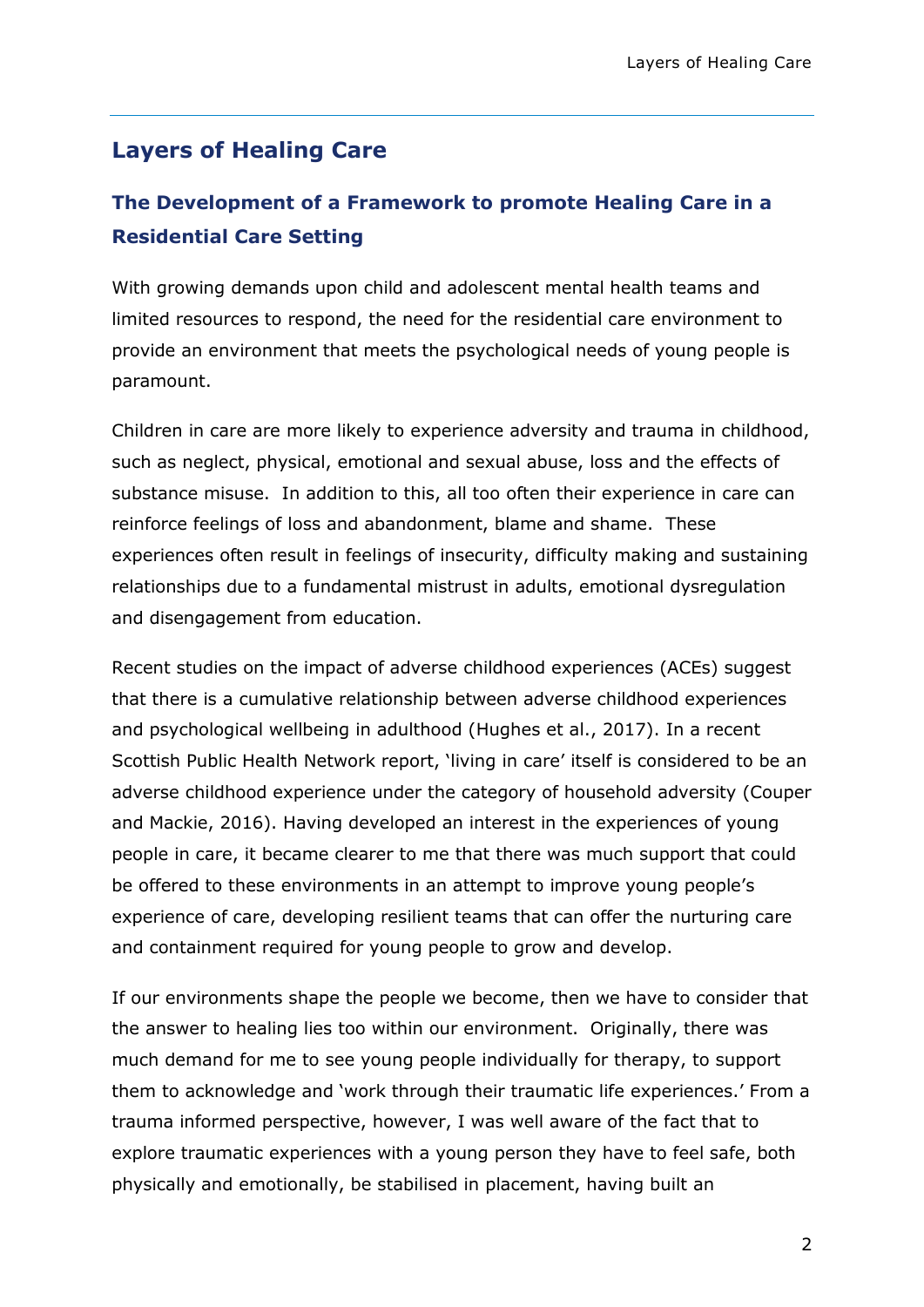#### **Layers of Healing Care**

### **The Development of a Framework to promote Healing Care in a Residential Care Setting**

With growing demands upon child and adolescent mental health teams and limited resources to respond, the need for the residential care environment to provide an environment that meets the psychological needs of young people is paramount.

Children in care are more likely to experience adversity and trauma in childhood, such as neglect, physical, emotional and sexual abuse, loss and the effects of substance misuse. In addition to this, all too often their experience in care can reinforce feelings of loss and abandonment, blame and shame. These experiences often result in feelings of insecurity, difficulty making and sustaining relationships due to a fundamental mistrust in adults, emotional dysregulation and disengagement from education.

Recent studies on the impact of adverse childhood experiences (ACEs) suggest that there is a cumulative relationship between adverse childhood experiences and psychological wellbeing in adulthood (Hughes et al., 2017). In a recent Scottish Public Health Network report, 'living in care' itself is considered to be an adverse childhood experience under the category of household adversity (Couper and Mackie, 2016). Having developed an interest in the experiences of young people in care, it became clearer to me that there was much support that could be offered to these environments in an attempt to improve young people's experience of care, developing resilient teams that can offer the nurturing care and containment required for young people to grow and develop.

If our environments shape the people we become, then we have to consider that the answer to healing lies too within our environment. Originally, there was much demand for me to see young people individually for therapy, to support them to acknowledge and 'work through their traumatic life experiences.' From a trauma informed perspective, however, I was well aware of the fact that to explore traumatic experiences with a young person they have to feel safe, both physically and emotionally, be stabilised in placement, having built an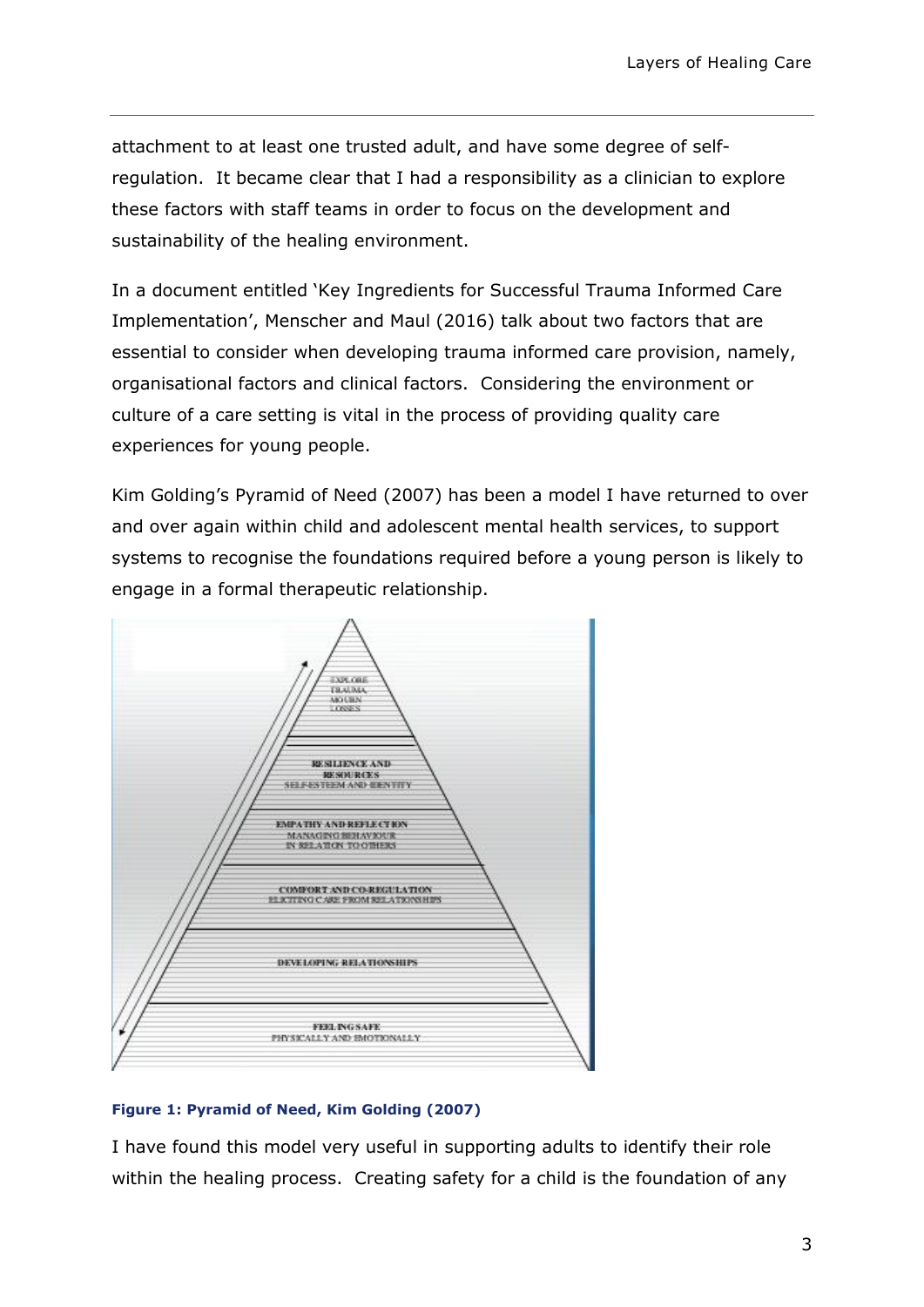attachment to at least one trusted adult, and have some degree of selfregulation. It became clear that I had a responsibility as a clinician to explore these factors with staff teams in order to focus on the development and sustainability of the healing environment.

In a document entitled 'Key Ingredients for Successful Trauma Informed Care Implementation', Menscher and Maul (2016) talk about two factors that are essential to consider when developing trauma informed care provision, namely, organisational factors and clinical factors. Considering the environment or culture of a care setting is vital in the process of providing quality care experiences for young people.

Kim Golding's Pyramid of Need (2007) has been a model I have returned to over and over again within child and adolescent mental health services, to support systems to recognise the foundations required before a young person is likely to engage in a formal therapeutic relationship.



#### **Figure 1: Pyramid of Need, Kim Golding (2007)**

I have found this model very useful in supporting adults to identify their role within the healing process. Creating safety for a child is the foundation of any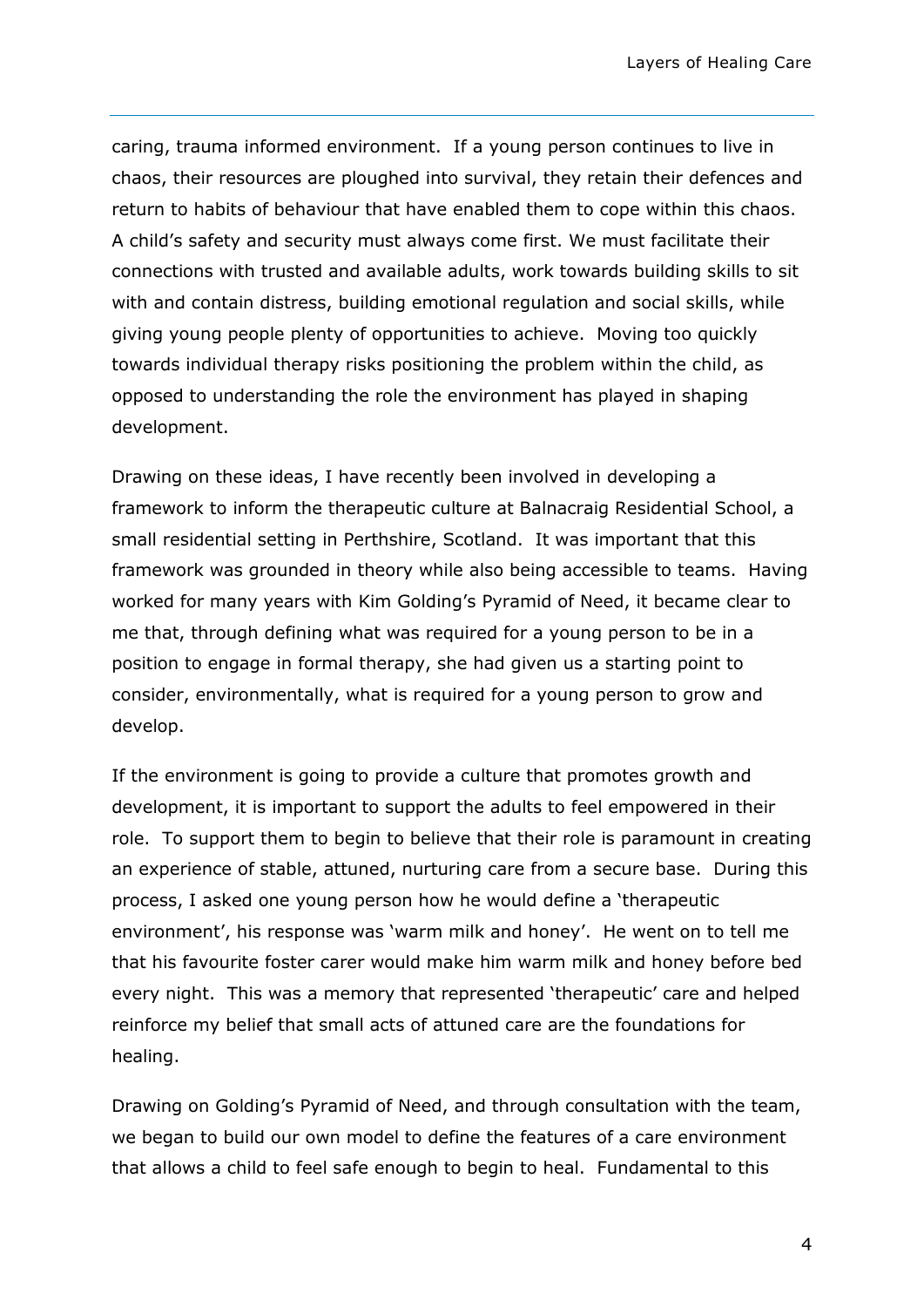caring, trauma informed environment. If a young person continues to live in chaos, their resources are ploughed into survival, they retain their defences and return to habits of behaviour that have enabled them to cope within this chaos. A child's safety and security must always come first. We must facilitate their connections with trusted and available adults, work towards building skills to sit with and contain distress, building emotional regulation and social skills, while giving young people plenty of opportunities to achieve. Moving too quickly towards individual therapy risks positioning the problem within the child, as opposed to understanding the role the environment has played in shaping development.

Drawing on these ideas, I have recently been involved in developing a framework to inform the therapeutic culture at Balnacraig Residential School, a small residential setting in Perthshire, Scotland. It was important that this framework was grounded in theory while also being accessible to teams. Having worked for many years with Kim Golding's Pyramid of Need, it became clear to me that, through defining what was required for a young person to be in a position to engage in formal therapy, she had given us a starting point to consider, environmentally, what is required for a young person to grow and develop.

If the environment is going to provide a culture that promotes growth and development, it is important to support the adults to feel empowered in their role. To support them to begin to believe that their role is paramount in creating an experience of stable, attuned, nurturing care from a secure base. During this process, I asked one young person how he would define a 'therapeutic environment', his response was 'warm milk and honey'. He went on to tell me that his favourite foster carer would make him warm milk and honey before bed every night. This was a memory that represented 'therapeutic' care and helped reinforce my belief that small acts of attuned care are the foundations for healing.

Drawing on Golding's Pyramid of Need, and through consultation with the team, we began to build our own model to define the features of a care environment that allows a child to feel safe enough to begin to heal. Fundamental to this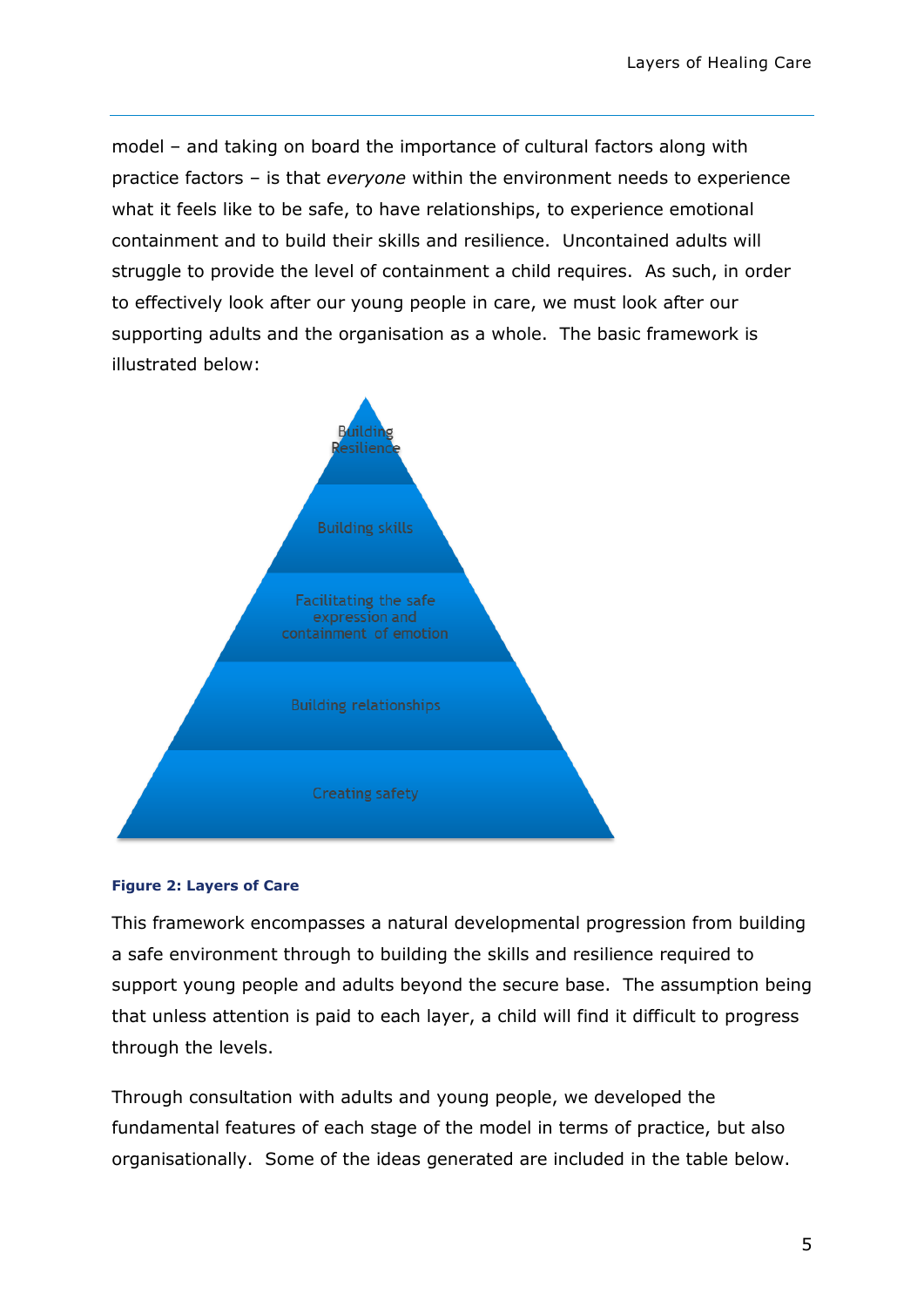model – and taking on board the importance of cultural factors along with practice factors – is that *everyone* within the environment needs to experience what it feels like to be safe, to have relationships, to experience emotional containment and to build their skills and resilience. Uncontained adults will struggle to provide the level of containment a child requires. As such, in order to effectively look after our young people in care, we must look after our supporting adults and the organisation as a whole. The basic framework is illustrated below:



#### **Figure 2: Layers of Care**

This framework encompasses a natural developmental progression from building a safe environment through to building the skills and resilience required to support young people and adults beyond the secure base. The assumption being that unless attention is paid to each layer, a child will find it difficult to progress through the levels.

Through consultation with adults and young people, we developed the fundamental features of each stage of the model in terms of practice, but also organisationally. Some of the ideas generated are included in the table below.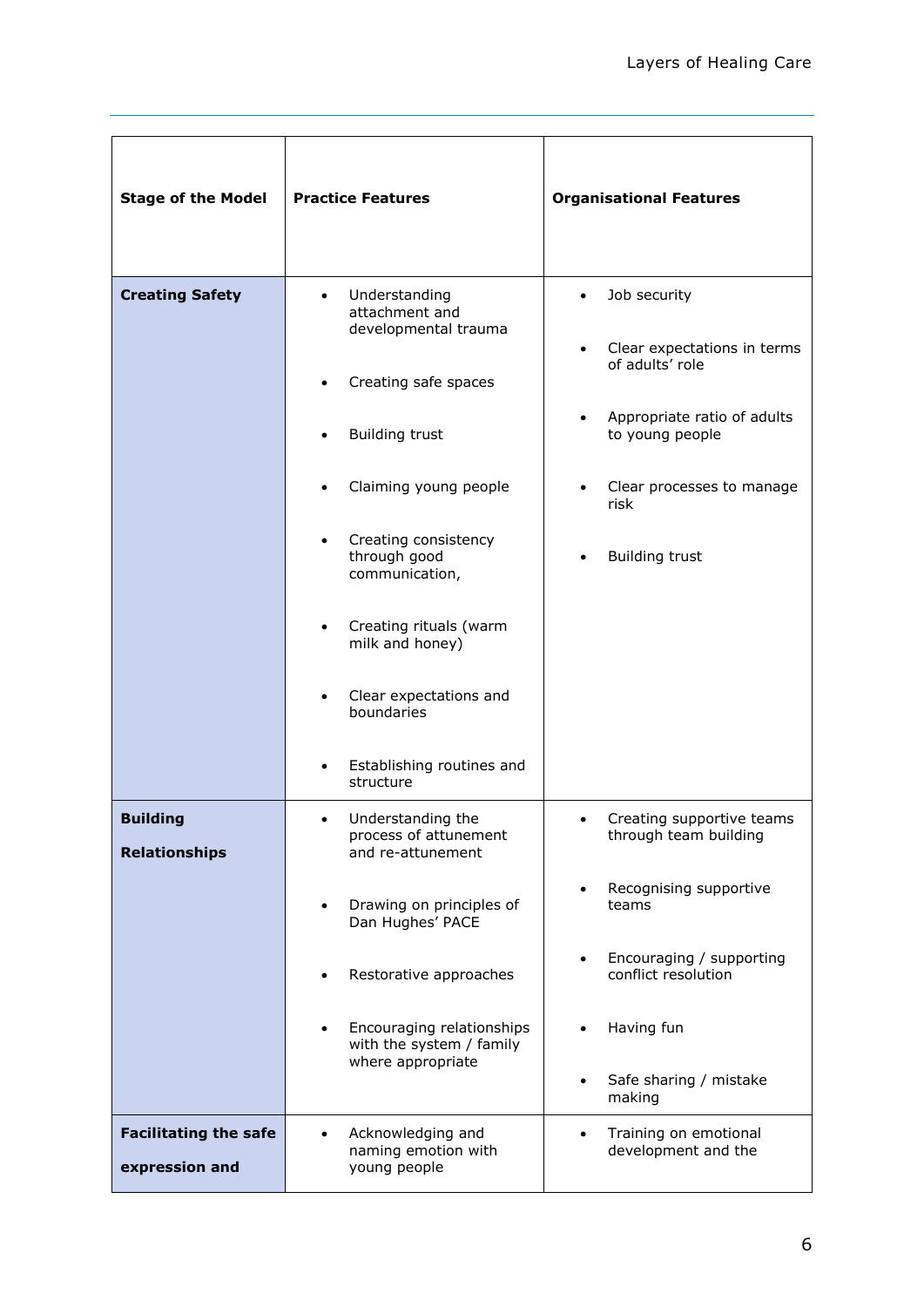| <b>Stage of the Model</b>                      | <b>Practice Features</b>                                                                                                                                                                                                                                                                                                   | <b>Organisational Features</b>                                                                                                                                                                                        |
|------------------------------------------------|----------------------------------------------------------------------------------------------------------------------------------------------------------------------------------------------------------------------------------------------------------------------------------------------------------------------------|-----------------------------------------------------------------------------------------------------------------------------------------------------------------------------------------------------------------------|
| <b>Creating Safety</b>                         | Understanding<br>attachment and<br>developmental trauma<br>Creating safe spaces<br><b>Building trust</b><br>Claiming young people<br>Creating consistency<br>through good<br>communication,<br>Creating rituals (warm<br>milk and honey)<br>Clear expectations and<br>boundaries<br>Establishing routines and<br>structure | Job security<br>$\bullet$<br>Clear expectations in terms<br>of adults' role<br>Appropriate ratio of adults<br>$\bullet$<br>to young people<br>Clear processes to manage<br>$\bullet$<br>risk<br><b>Building trust</b> |
| <b>Building</b><br><b>Relationships</b>        | Understanding the<br>process of attunement<br>and re-attunement<br>Drawing on principles of<br>$\bullet$<br>Dan Hughes' PACE<br>Restorative approaches<br>Encouraging relationships<br>with the system / family<br>where appropriate                                                                                       | Creating supportive teams<br>through team building<br>Recognising supportive<br>teams<br>Encouraging / supporting<br>conflict resolution<br>Having fun<br>Safe sharing / mistake<br>making                            |
| <b>Facilitating the safe</b><br>expression and | Acknowledging and<br>$\bullet$<br>naming emotion with<br>young people                                                                                                                                                                                                                                                      | Training on emotional<br>$\bullet$<br>development and the                                                                                                                                                             |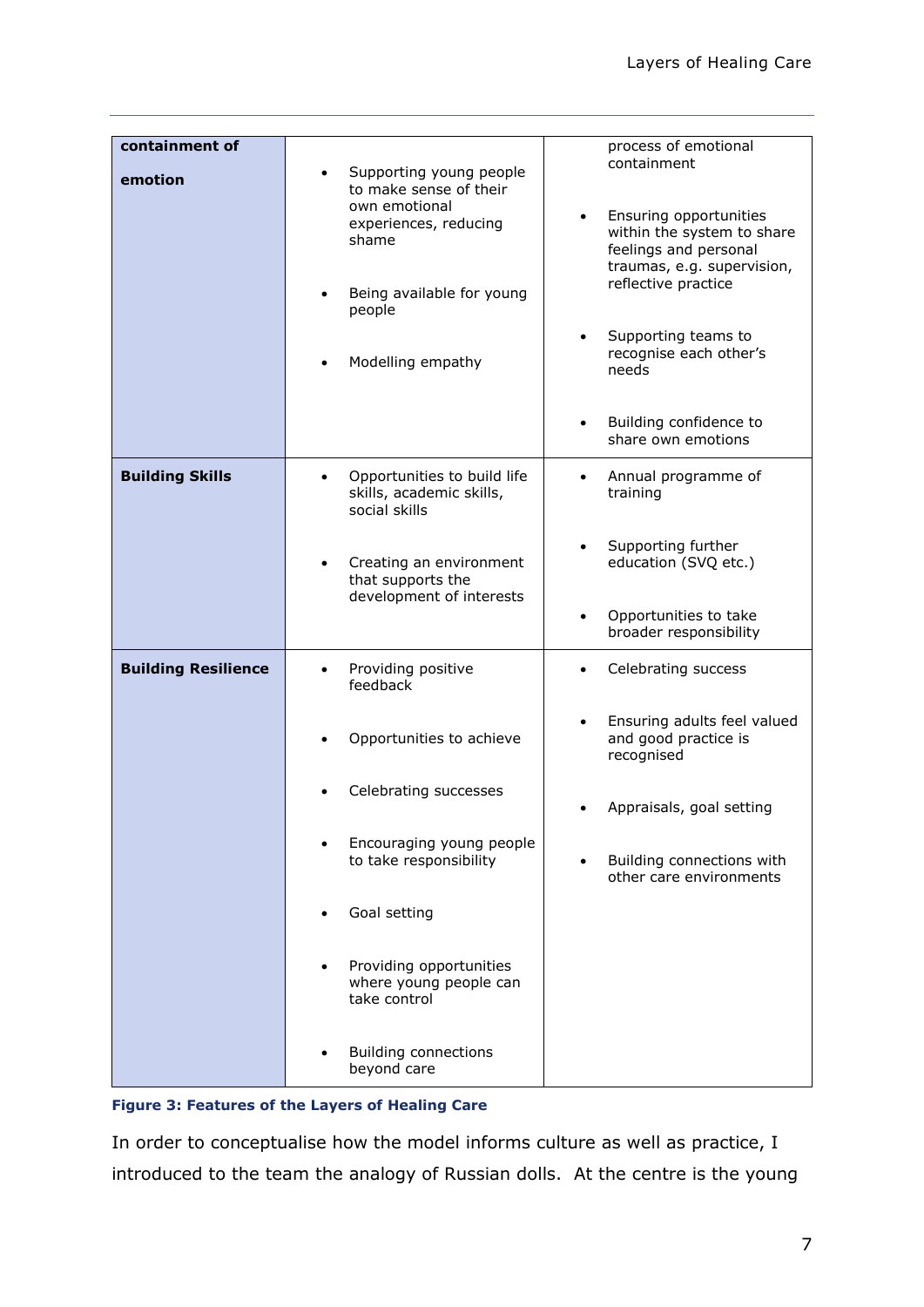| containment of<br>emotion  | Supporting young people<br>$\bullet$<br>to make sense of their                | process of emotional<br>containment                                                                         |
|----------------------------|-------------------------------------------------------------------------------|-------------------------------------------------------------------------------------------------------------|
|                            | own emotional<br>experiences, reducing<br>shame                               | Ensuring opportunities<br>within the system to share<br>feelings and personal<br>traumas, e.g. supervision, |
|                            | Being available for young<br>people                                           | reflective practice                                                                                         |
|                            | Modelling empathy                                                             | Supporting teams to<br>$\bullet$<br>recognise each other's<br>needs                                         |
|                            |                                                                               | Building confidence to<br>share own emotions                                                                |
| <b>Building Skills</b>     | Opportunities to build life<br>٠<br>skills, academic skills,<br>social skills | Annual programme of<br>$\bullet$<br>training                                                                |
|                            | Creating an environment<br>that supports the                                  | Supporting further<br>education (SVQ etc.)                                                                  |
|                            | development of interests                                                      | Opportunities to take<br>$\bullet$<br>broader responsibility                                                |
| <b>Building Resilience</b> | Providing positive<br>feedback                                                | Celebrating success<br>$\bullet$                                                                            |
|                            | Opportunities to achieve                                                      | Ensuring adults feel valued<br>and good practice is<br>recognised                                           |
|                            | Celebrating successes                                                         | Appraisals, goal setting                                                                                    |
|                            | Encouraging young people<br>to take responsibility                            | Building connections with<br>other care environments                                                        |
|                            | Goal setting                                                                  |                                                                                                             |
|                            | Providing opportunities<br>where young people can<br>take control             |                                                                                                             |
|                            | <b>Building connections</b><br>beyond care                                    |                                                                                                             |

#### **Figure 3: Features of the Layers of Healing Care**

In order to conceptualise how the model informs culture as well as practice, I introduced to the team the analogy of Russian dolls. At the centre is the young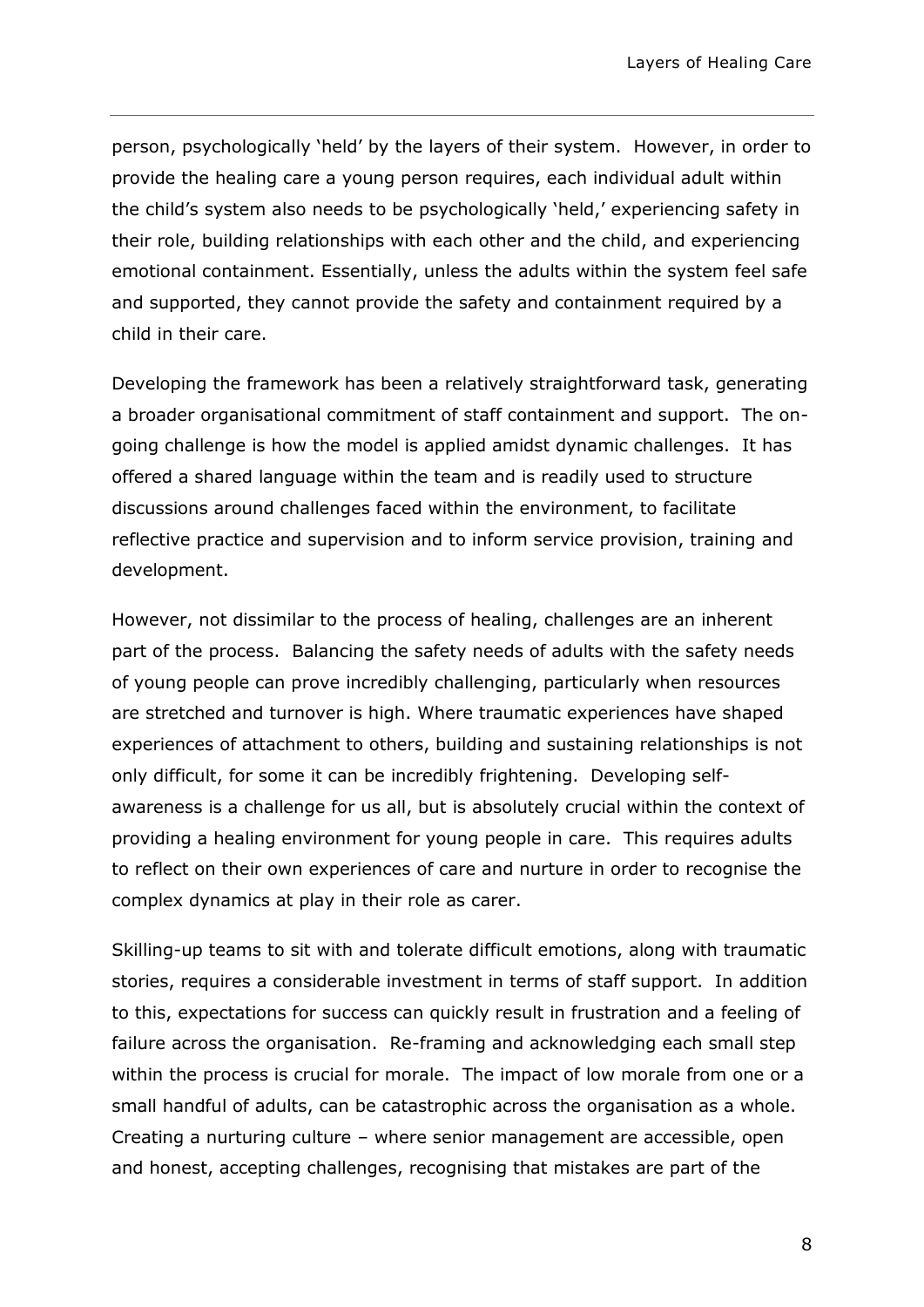person, psychologically 'held' by the layers of their system. However, in order to provide the healing care a young person requires, each individual adult within the child's system also needs to be psychologically 'held,' experiencing safety in their role, building relationships with each other and the child, and experiencing emotional containment. Essentially, unless the adults within the system feel safe and supported, they cannot provide the safety and containment required by a child in their care.

Developing the framework has been a relatively straightforward task, generating a broader organisational commitment of staff containment and support. The ongoing challenge is how the model is applied amidst dynamic challenges. It has offered a shared language within the team and is readily used to structure discussions around challenges faced within the environment, to facilitate reflective practice and supervision and to inform service provision, training and development.

However, not dissimilar to the process of healing, challenges are an inherent part of the process. Balancing the safety needs of adults with the safety needs of young people can prove incredibly challenging, particularly when resources are stretched and turnover is high. Where traumatic experiences have shaped experiences of attachment to others, building and sustaining relationships is not only difficult, for some it can be incredibly frightening. Developing selfawareness is a challenge for us all, but is absolutely crucial within the context of providing a healing environment for young people in care. This requires adults to reflect on their own experiences of care and nurture in order to recognise the complex dynamics at play in their role as carer.

Skilling-up teams to sit with and tolerate difficult emotions, along with traumatic stories, requires a considerable investment in terms of staff support. In addition to this, expectations for success can quickly result in frustration and a feeling of failure across the organisation. Re-framing and acknowledging each small step within the process is crucial for morale. The impact of low morale from one or a small handful of adults, can be catastrophic across the organisation as a whole. Creating a nurturing culture – where senior management are accessible, open and honest, accepting challenges, recognising that mistakes are part of the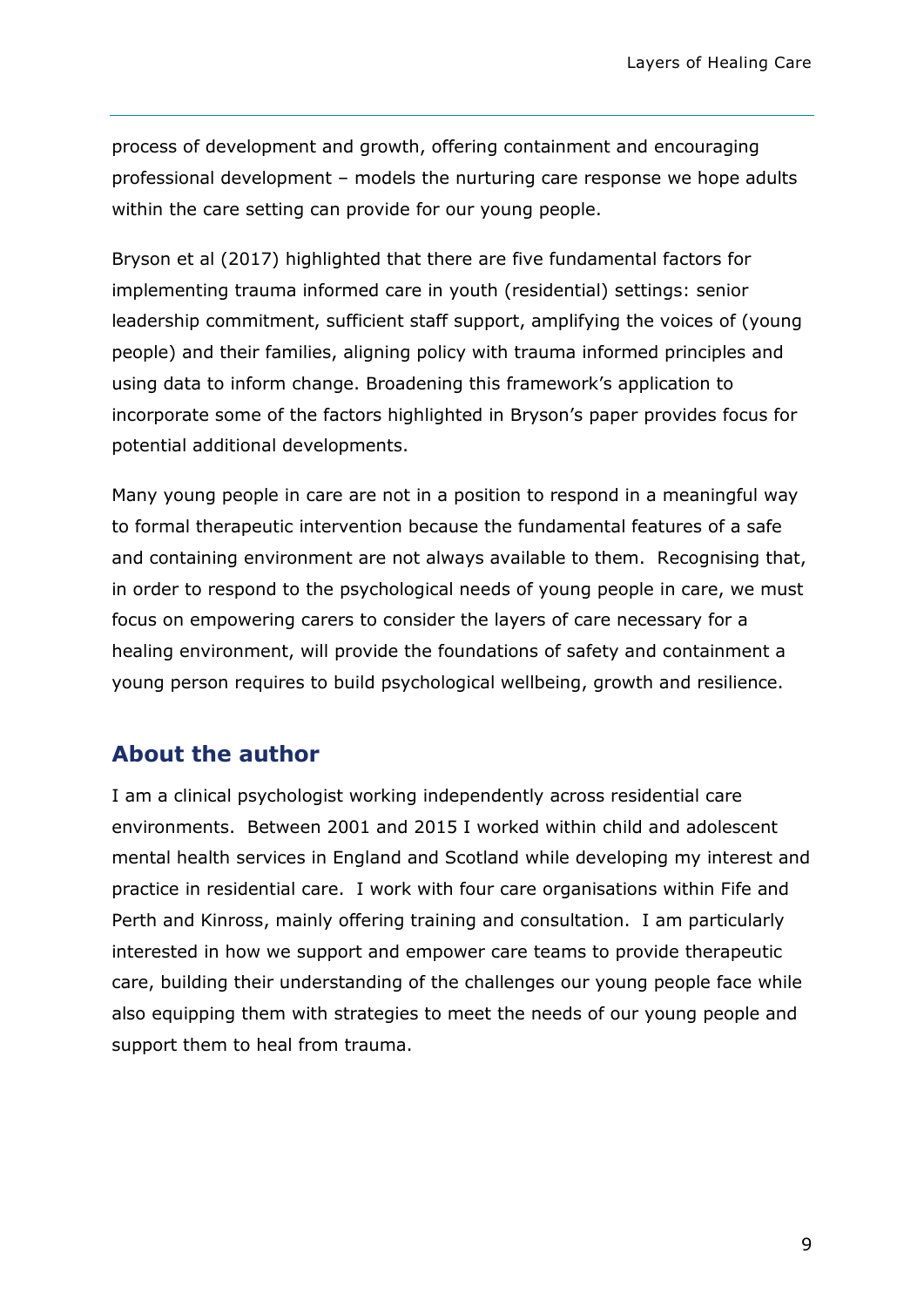process of development and growth, offering containment and encouraging professional development – models the nurturing care response we hope adults within the care setting can provide for our young people.

Bryson et al (2017) highlighted that there are five fundamental factors for implementing trauma informed care in youth (residential) settings: senior leadership commitment, sufficient staff support, amplifying the voices of (young people) and their families, aligning policy with trauma informed principles and using data to inform change. Broadening this framework's application to incorporate some of the factors highlighted in Bryson's paper provides focus for potential additional developments.

Many young people in care are not in a position to respond in a meaningful way to formal therapeutic intervention because the fundamental features of a safe and containing environment are not always available to them. Recognising that, in order to respond to the psychological needs of young people in care, we must focus on empowering carers to consider the layers of care necessary for a healing environment, will provide the foundations of safety and containment a young person requires to build psychological wellbeing, growth and resilience.

#### **About the author**

I am a clinical psychologist working independently across residential care environments. Between 2001 and 2015 I worked within child and adolescent mental health services in England and Scotland while developing my interest and practice in residential care. I work with four care organisations within Fife and Perth and Kinross, mainly offering training and consultation. I am particularly interested in how we support and empower care teams to provide therapeutic care, building their understanding of the challenges our young people face while also equipping them with strategies to meet the needs of our young people and support them to heal from trauma.